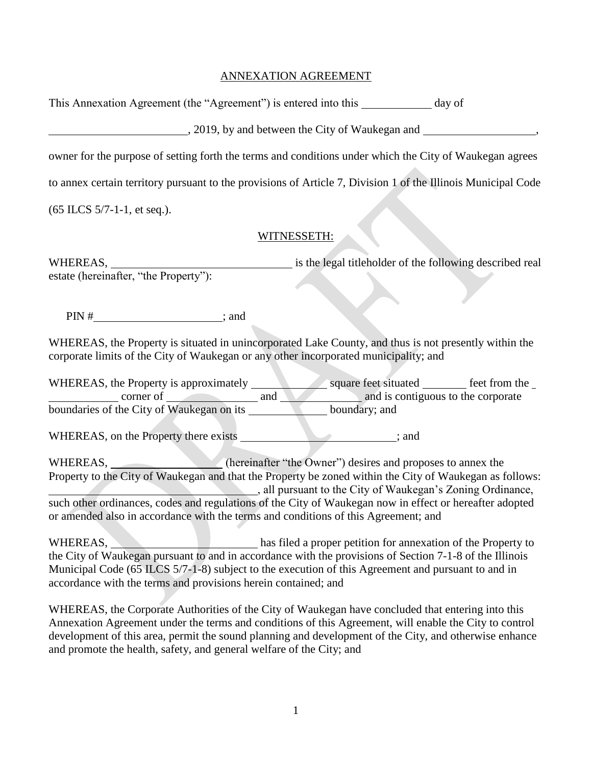## ANNEXATION AGREEMENT

This Annexation Agreement (the "Agreement") is entered into this day of

, 2019, by and between the City of Waukegan and

owner for the purpose of setting forth the terms and conditions under which the City of Waukegan agrees

to annex certain territory pursuant to the provisions of Article 7, Division 1 of the Illinois Municipal Code

(65 ILCS 5/7-1-1, et seq.).

## WITNESSETH:

WHEREAS, WHEREAS, WHEREAS, estate (hereinafter, "the Property"):

 $PIN \#$  ; and

WHEREAS, the Property is situated in unincorporated Lake County, and thus is not presently within the corporate limits of the City of Waukegan or any other incorporated municipality; and

WHEREAS, the Property is approximately square feet situated feet from the corner of and and is contiguous to the corporate boundaries of the City of Waukegan on its boundary; and

WHEREAS, on the Property there exists \_\_\_\_\_\_\_\_\_\_\_\_\_\_\_\_\_\_\_\_\_\_; and

WHEREAS, (hereinafter "the Owner") desires and proposes to annex the Property to the City of Waukegan and that the Property be zoned within the City of Waukegan as follows: , all pursuant to the City of Waukegan's Zoning Ordinance, such other ordinances, codes and regulations of the City of Waukegan now in effect or hereafter adopted or amended also in accordance with the terms and conditions of this Agreement; and

WHEREAS, has filed a proper petition for annexation of the Property to the City of Waukegan pursuant to and in accordance with the provisions of Section 7-1-8 of the Illinois Municipal Code (65 ILCS 5/7-1-8) subject to the execution of this Agreement and pursuant to and in accordance with the terms and provisions herein contained; and

WHEREAS, the Corporate Authorities of the City of Waukegan have concluded that entering into this Annexation Agreement under the terms and conditions of this Agreement, will enable the City to control development of this area, permit the sound planning and development of the City, and otherwise enhance and promote the health, safety, and general welfare of the City; and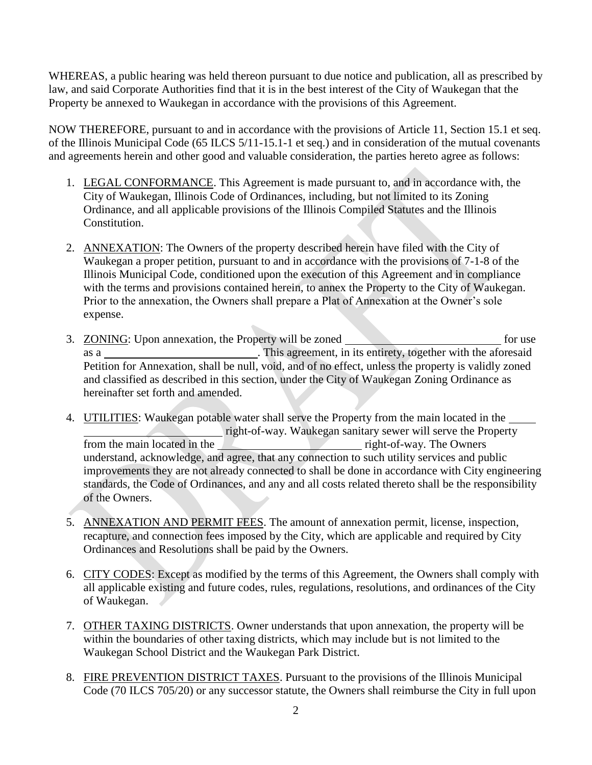WHEREAS, a public hearing was held thereon pursuant to due notice and publication, all as prescribed by law, and said Corporate Authorities find that it is in the best interest of the City of Waukegan that the Property be annexed to Waukegan in accordance with the provisions of this Agreement.

NOW THEREFORE, pursuant to and in accordance with the provisions of Article 11, Section 15.1 et seq. of the Illinois Municipal Code (65 ILCS 5/11-15.1-1 et seq.) and in consideration of the mutual covenants and agreements herein and other good and valuable consideration, the parties hereto agree as follows:

- 1. LEGAL CONFORMANCE. This Agreement is made pursuant to, and in accordance with, the City of Waukegan, Illinois Code of Ordinances, including, but not limited to its Zoning Ordinance, and all applicable provisions of the Illinois Compiled Statutes and the Illinois Constitution.
- 2. ANNEXATION: The Owners of the property described herein have filed with the City of Waukegan a proper petition, pursuant to and in accordance with the provisions of 7-1-8 of the Illinois Municipal Code, conditioned upon the execution of this Agreement and in compliance with the terms and provisions contained herein, to annex the Property to the City of Waukegan. Prior to the annexation, the Owners shall prepare a Plat of Annexation at the Owner's sole expense.
- 3. ZONING: Upon annexation, the Property will be zoned for use as a \_\_\_\_\_\_\_\_\_\_\_\_\_\_\_\_\_\_\_\_\_\_\_\_\_\_\_\_\_\_. This agreement, in its entirety, together with the aforesaid Petition for Annexation, shall be null, void, and of no effect, unless the property is validly zoned and classified as described in this section, under the City of Waukegan Zoning Ordinance as hereinafter set forth and amended.
- 4. UTILITIES: Waukegan potable water shall serve the Property from the main located in the right-of-way. Waukegan sanitary sewer will serve the Property from the main located in the right-of-way. The Owners understand, acknowledge, and agree, that any connection to such utility services and public improvements they are not already connected to shall be done in accordance with City engineering standards, the Code of Ordinances, and any and all costs related thereto shall be the responsibility of the Owners.
- 5. ANNEXATION AND PERMIT FEES. The amount of annexation permit, license, inspection, recapture, and connection fees imposed by the City, which are applicable and required by City Ordinances and Resolutions shall be paid by the Owners.
- 6. CITY CODES: Except as modified by the terms of this Agreement, the Owners shall comply with all applicable existing and future codes, rules, regulations, resolutions, and ordinances of the City of Waukegan.
- 7. OTHER TAXING DISTRICTS. Owner understands that upon annexation, the property will be within the boundaries of other taxing districts, which may include but is not limited to the Waukegan School District and the Waukegan Park District.
- 8. FIRE PREVENTION DISTRICT TAXES. Pursuant to the provisions of the Illinois Municipal Code (70 ILCS 705/20) or any successor statute, the Owners shall reimburse the City in full upon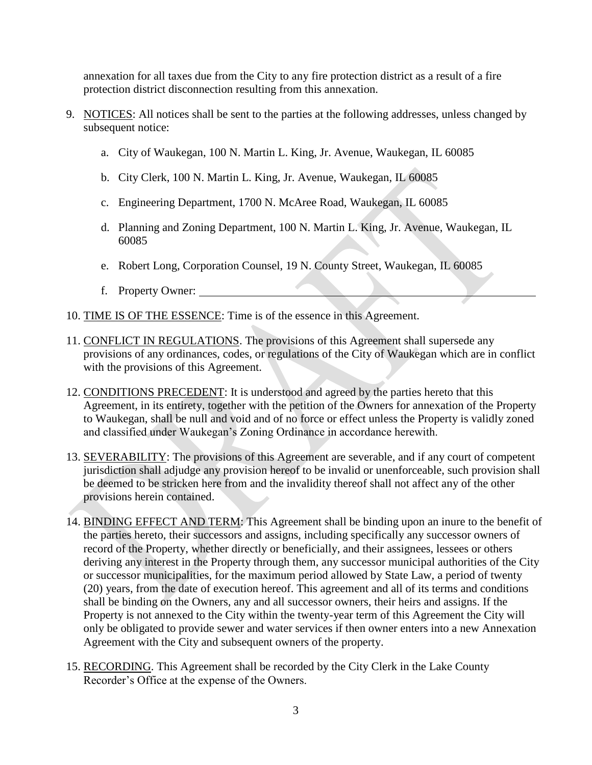annexation for all taxes due from the City to any fire protection district as a result of a fire protection district disconnection resulting from this annexation.

- 9. NOTICES: All notices shall be sent to the parties at the following addresses, unless changed by subsequent notice:
	- a. City of Waukegan, 100 N. Martin L. King, Jr. Avenue, Waukegan, IL 60085
	- b. City Clerk, 100 N. Martin L. King, Jr. Avenue, Waukegan, IL 60085
	- c. Engineering Department, 1700 N. McAree Road, Waukegan, IL 60085
	- d. Planning and Zoning Department, 100 N. Martin L. King, Jr. Avenue, Waukegan, IL 60085
	- e. Robert Long, Corporation Counsel, 19 N. County Street, Waukegan, IL 60085
	- f. Property Owner:
- 10. TIME IS OF THE ESSENCE: Time is of the essence in this Agreement.
- 11. CONFLICT IN REGULATIONS. The provisions of this Agreement shall supersede any provisions of any ordinances, codes, or regulations of the City of Waukegan which are in conflict with the provisions of this Agreement.
- 12. CONDITIONS PRECEDENT: It is understood and agreed by the parties hereto that this Agreement, in its entirety, together with the petition of the Owners for annexation of the Property to Waukegan, shall be null and void and of no force or effect unless the Property is validly zoned and classified under Waukegan's Zoning Ordinance in accordance herewith.
- 13. SEVERABILITY: The provisions of this Agreement are severable, and if any court of competent jurisdiction shall adjudge any provision hereof to be invalid or unenforceable, such provision shall be deemed to be stricken here from and the invalidity thereof shall not affect any of the other provisions herein contained.
- 14. BINDING EFFECT AND TERM: This Agreement shall be binding upon an inure to the benefit of the parties hereto, their successors and assigns, including specifically any successor owners of record of the Property, whether directly or beneficially, and their assignees, lessees or others deriving any interest in the Property through them, any successor municipal authorities of the City or successor municipalities, for the maximum period allowed by State Law, a period of twenty (20) years, from the date of execution hereof. This agreement and all of its terms and conditions shall be binding on the Owners, any and all successor owners, their heirs and assigns. If the Property is not annexed to the City within the twenty-year term of this Agreement the City will only be obligated to provide sewer and water services if then owner enters into a new Annexation Agreement with the City and subsequent owners of the property.
- 15. RECORDING. This Agreement shall be recorded by the City Clerk in the Lake County Recorder's Office at the expense of the Owners.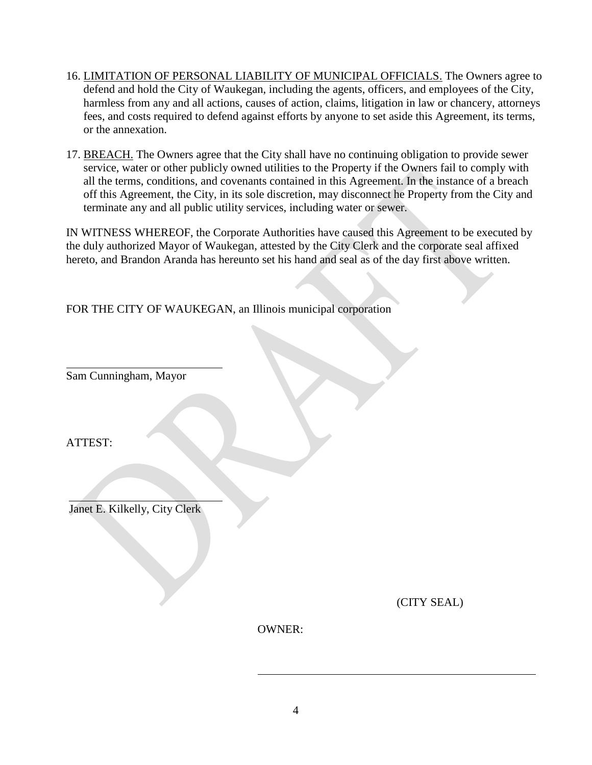- 16. LIMITATION OF PERSONAL LIABILITY OF MUNICIPAL OFFICIALS. The Owners agree to defend and hold the City of Waukegan, including the agents, officers, and employees of the City, harmless from any and all actions, causes of action, claims, litigation in law or chancery, attorneys fees, and costs required to defend against efforts by anyone to set aside this Agreement, its terms, or the annexation.
- 17. BREACH. The Owners agree that the City shall have no continuing obligation to provide sewer service, water or other publicly owned utilities to the Property if the Owners fail to comply with all the terms, conditions, and covenants contained in this Agreement. In the instance of a breach off this Agreement, the City, in its sole discretion, may disconnect he Property from the City and terminate any and all public utility services, including water or sewer.

IN WITNESS WHEREOF, the Corporate Authorities have caused this Agreement to be executed by the duly authorized Mayor of Waukegan, attested by the City Clerk and the corporate seal affixed hereto, and Brandon Aranda has hereunto set his hand and seal as of the day first above written.

FOR THE CITY OF WAUKEGAN, an Illinois municipal corporation

Sam Cunningham, Mayor

ATTEST:

Janet E. Kilkelly, City Clerk

(CITY SEAL)

OWNER: